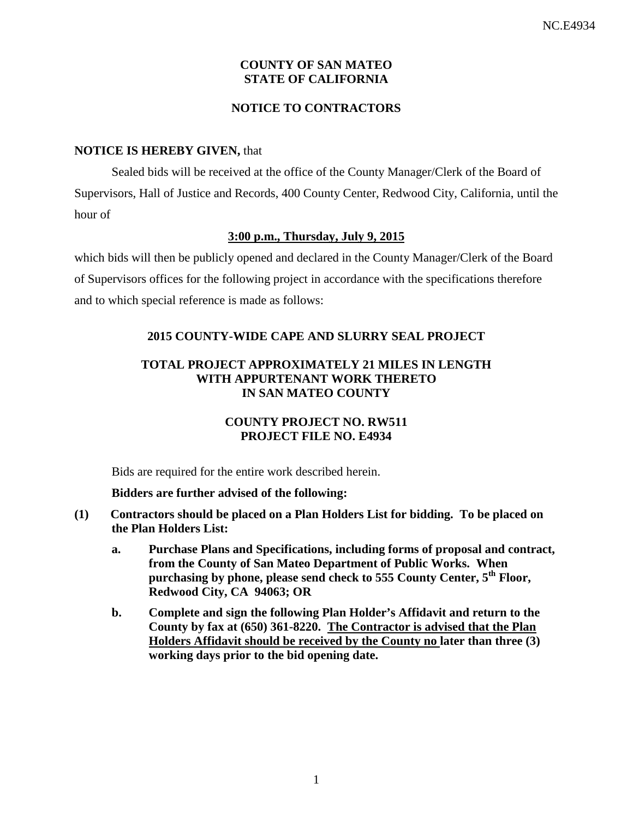# **COUNTY OF SAN MATEO STATE OF CALIFORNIA**

## **NOTICE TO CONTRACTORS**

### **NOTICE IS HEREBY GIVEN,** that

Sealed bids will be received at the office of the County Manager/Clerk of the Board of Supervisors, Hall of Justice and Records, 400 County Center, Redwood City, California, until the hour of

## **3:00 p.m., Thursday, July 9, 2015**

which bids will then be publicly opened and declared in the County Manager/Clerk of the Board of Supervisors offices for the following project in accordance with the specifications therefore and to which special reference is made as follows:

## **2015 COUNTY-WIDE CAPE AND SLURRY SEAL PROJECT**

## **TOTAL PROJECT APPROXIMATELY 21 MILES IN LENGTH WITH APPURTENANT WORK THERETO IN SAN MATEO COUNTY**

# **COUNTY PROJECT NO. RW511 PROJECT FILE NO. E4934**

Bids are required for the entire work described herein.

### **Bidders are further advised of the following:**

- **(1) Contractors should be placed on a Plan Holders List for bidding. To be placed on the Plan Holders List:**
	- **a. Purchase Plans and Specifications, including forms of proposal and contract, from the County of San Mateo Department of Public Works. When purchasing by phone, please send check to 555 County Center, 5th Floor, Redwood City, CA 94063; OR**
	- **b. Complete and sign the following Plan Holder's Affidavit and return to the County by fax at (650) 361-8220. The Contractor is advised that the Plan Holders Affidavit should be received by the County no later than three (3) working days prior to the bid opening date.**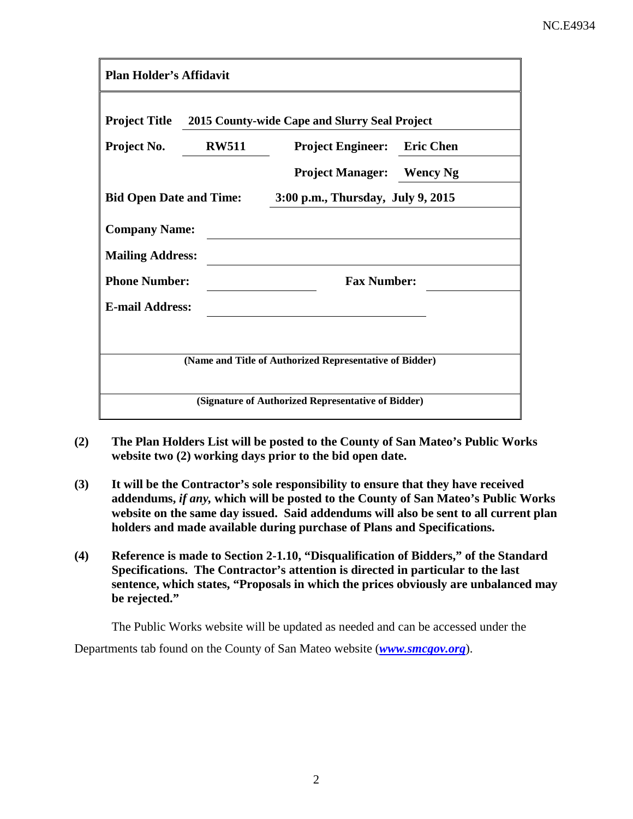| <b>Plan Holder's Affidavit</b>                          |                                               |                                   |                  |  |  |  |
|---------------------------------------------------------|-----------------------------------------------|-----------------------------------|------------------|--|--|--|
| <b>Project Title</b>                                    | 2015 County-wide Cape and Slurry Seal Project |                                   |                  |  |  |  |
| Project No.                                             | <b>RW511</b>                                  | <b>Project Engineer:</b>          | <b>Eric Chen</b> |  |  |  |
|                                                         |                                               | <b>Project Manager:</b>           | <b>Wency Ng</b>  |  |  |  |
| <b>Bid Open Date and Time:</b>                          |                                               | 3:00 p.m., Thursday, July 9, 2015 |                  |  |  |  |
| <b>Company Name:</b>                                    |                                               |                                   |                  |  |  |  |
| <b>Mailing Address:</b>                                 |                                               |                                   |                  |  |  |  |
| <b>Phone Number:</b>                                    |                                               | <b>Fax Number:</b>                |                  |  |  |  |
| <b>E-mail Address:</b>                                  |                                               |                                   |                  |  |  |  |
|                                                         |                                               |                                   |                  |  |  |  |
| (Name and Title of Authorized Representative of Bidder) |                                               |                                   |                  |  |  |  |
| (Signature of Authorized Representative of Bidder)      |                                               |                                   |                  |  |  |  |

- **(2) The Plan Holders List will be posted to the County of San Mateo's Public Works website two (2) working days prior to the bid open date.**
- **(3) It will be the Contractor's sole responsibility to ensure that they have received addendums,** *if any,* **which will be posted to the County of San Mateo's Public Works website on the same day issued. Said addendums will also be sent to all current plan holders and made available during purchase of Plans and Specifications.**
- **(4) Reference is made to Section 2-1.10, "Disqualification of Bidders," of the Standard Specifications. The Contractor's attention is directed in particular to the last sentence, which states, "Proposals in which the prices obviously are unbalanced may be rejected."**

The Public Works website will be updated as needed and can be accessed under the Departments tab found on the County of San Mateo website (*[www.smcgov.org](http://www.smcgov.org/)*).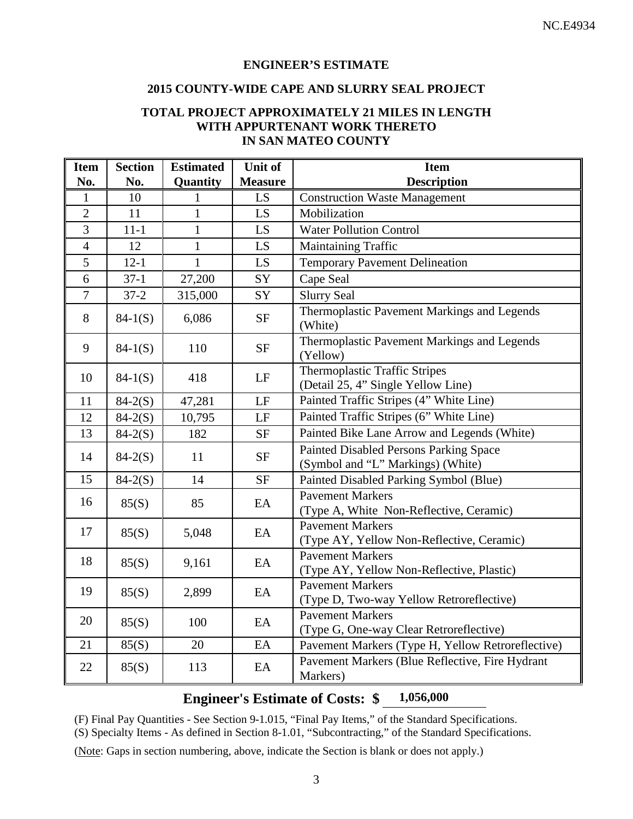### **ENGINEER'S ESTIMATE**

#### **2015 COUNTY-WIDE CAPE AND SLURRY SEAL PROJECT**

#### **TOTAL PROJECT APPROXIMATELY 21 MILES IN LENGTH WITH APPURTENANT WORK THERETO IN SAN MATEO COUNTY**

| <b>Item</b>    | <b>Section</b> | <b>Estimated</b> | Unit of        | <b>Item</b>                                                                 |
|----------------|----------------|------------------|----------------|-----------------------------------------------------------------------------|
| No.            | No.            | Quantity         | <b>Measure</b> | <b>Description</b>                                                          |
| 1              | 10             | 1                | LS             | <b>Construction Waste Management</b>                                        |
| $\overline{2}$ | 11             | $\mathbf{1}$     | LS             | Mobilization                                                                |
| $\overline{3}$ | $11 - 1$       | $\mathbf{1}$     | LS             | <b>Water Pollution Control</b>                                              |
| $\overline{4}$ | 12             | $\mathbf{1}$     | LS             | Maintaining Traffic                                                         |
| 5              | $12 - 1$       | $\mathbf{1}$     | LS             | <b>Temporary Pavement Delineation</b>                                       |
| $\overline{6}$ | $37-1$         | 27,200           | SY             | Cape Seal                                                                   |
| $\overline{7}$ | $37 - 2$       | 315,000          | SY             | <b>Slurry Seal</b>                                                          |
| 8              | $84-1(S)$      | 6,086            | $\rm{SF}$      | Thermoplastic Pavement Markings and Legends<br>(White)                      |
| 9              | $84-1(S)$      | 110              | <b>SF</b>      | Thermoplastic Pavement Markings and Legends<br>(Yellow)                     |
| 10             | $84-1(S)$      | 418              | LF             | <b>Thermoplastic Traffic Stripes</b><br>(Detail 25, 4" Single Yellow Line)  |
| 11             | $84 - 2(S)$    | 47,281           | LF             | Painted Traffic Stripes (4" White Line)                                     |
| 12             | $84 - 2(S)$    | 10,795           | LF             | Painted Traffic Stripes (6" White Line)                                     |
| 13             | $84 - 2(S)$    | 182              | <b>SF</b>      | Painted Bike Lane Arrow and Legends (White)                                 |
| 14             | $84 - 2(S)$    | 11               | <b>SF</b>      | Painted Disabled Persons Parking Space<br>(Symbol and "L" Markings) (White) |
| 15             | $84-2(S)$      | 14               | <b>SF</b>      | Painted Disabled Parking Symbol (Blue)                                      |
| 16             | 85(S)          | 85               | EA             | <b>Pavement Markers</b><br>(Type A, White Non-Reflective, Ceramic)          |
| 17             | 85(S)          | 5,048            | EA             | <b>Pavement Markers</b><br>(Type AY, Yellow Non-Reflective, Ceramic)        |
| 18             | 85(S)          | 9,161            | EA             | <b>Pavement Markers</b><br>(Type AY, Yellow Non-Reflective, Plastic)        |
| 19             | 85(S)          | 2,899            | EA             | <b>Pavement Markers</b><br>(Type D, Two-way Yellow Retroreflective)         |
| 20             | 85(S)          | 100              | EA             | <b>Pavement Markers</b><br>(Type G, One-way Clear Retroreflective)          |
| 21             | 85(S)          | 20               | EA             | Pavement Markers (Type H, Yellow Retroreflective)                           |
| 22             | 85(S)          | 113              | EA             | Pavement Markers (Blue Reflective, Fire Hydrant<br>Markers)                 |

# **Engineer's Estimate of Costs: \$ 1,056,000**

(F) Final Pay Quantities - See Section 9-1.015, "Final Pay Items," of the Standard Specifications.

(S) Specialty Items - As defined in Section 8-1.01, "Subcontracting," of the Standard Specifications.

(Note: Gaps in section numbering, above, indicate the Section is blank or does not apply.)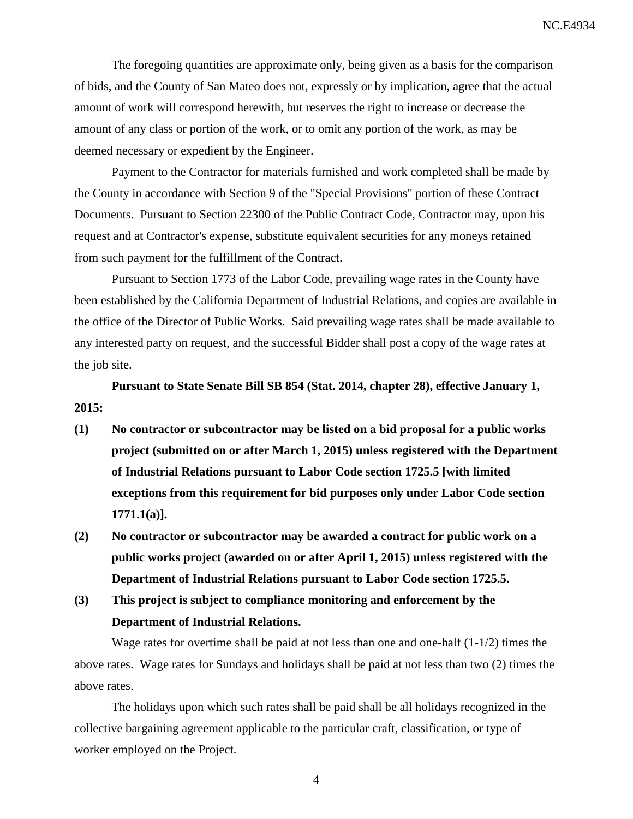The foregoing quantities are approximate only, being given as a basis for the comparison of bids, and the County of San Mateo does not, expressly or by implication, agree that the actual amount of work will correspond herewith, but reserves the right to increase or decrease the amount of any class or portion of the work, or to omit any portion of the work, as may be deemed necessary or expedient by the Engineer.

Payment to the Contractor for materials furnished and work completed shall be made by the County in accordance with Section 9 of the "Special Provisions" portion of these Contract Documents. Pursuant to Section 22300 of the Public Contract Code, Contractor may, upon his request and at Contractor's expense, substitute equivalent securities for any moneys retained from such payment for the fulfillment of the Contract.

Pursuant to Section 1773 of the Labor Code, prevailing wage rates in the County have been established by the California Department of Industrial Relations, and copies are available in the office of the Director of Public Works. Said prevailing wage rates shall be made available to any interested party on request, and the successful Bidder shall post a copy of the wage rates at the job site.

**Pursuant to State Senate Bill SB 854 (Stat. 2014, chapter 28), effective January 1, 2015:**

- **(1) No contractor or subcontractor may be listed on a bid proposal for a public works project (submitted on or after March 1, 2015) unless registered with the Department of Industrial Relations pursuant to Labor Code section 1725.5 [with limited exceptions from this requirement for bid purposes only under Labor Code section 1771.1(a)].**
- **(2) No contractor or subcontractor may be awarded a contract for public work on a public works project (awarded on or after April 1, 2015) unless registered with the Department of Industrial Relations pursuant to Labor Code section 1725.5.**
- **(3) This project is subject to compliance monitoring and enforcement by the Department of Industrial Relations.**

Wage rates for overtime shall be paid at not less than one and one-half (1-1/2) times the above rates. Wage rates for Sundays and holidays shall be paid at not less than two (2) times the above rates.

The holidays upon which such rates shall be paid shall be all holidays recognized in the collective bargaining agreement applicable to the particular craft, classification, or type of worker employed on the Project.

4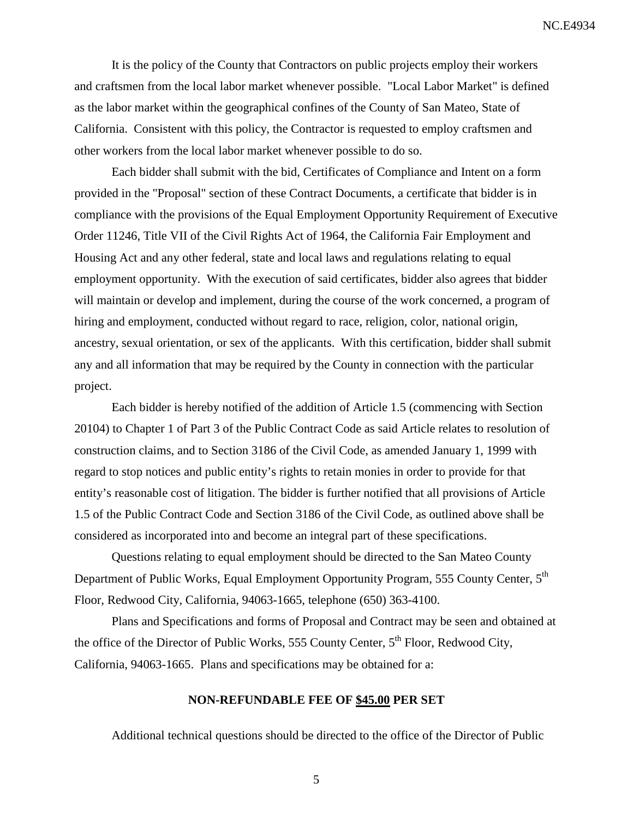It is the policy of the County that Contractors on public projects employ their workers and craftsmen from the local labor market whenever possible. "Local Labor Market" is defined as the labor market within the geographical confines of the County of San Mateo, State of California. Consistent with this policy, the Contractor is requested to employ craftsmen and other workers from the local labor market whenever possible to do so.

Each bidder shall submit with the bid, Certificates of Compliance and Intent on a form provided in the "Proposal" section of these Contract Documents, a certificate that bidder is in compliance with the provisions of the Equal Employment Opportunity Requirement of Executive Order 11246, Title VII of the Civil Rights Act of 1964, the California Fair Employment and Housing Act and any other federal, state and local laws and regulations relating to equal employment opportunity. With the execution of said certificates, bidder also agrees that bidder will maintain or develop and implement, during the course of the work concerned, a program of hiring and employment, conducted without regard to race, religion, color, national origin, ancestry, sexual orientation, or sex of the applicants. With this certification, bidder shall submit any and all information that may be required by the County in connection with the particular project.

Each bidder is hereby notified of the addition of Article 1.5 (commencing with Section 20104) to Chapter 1 of Part 3 of the Public Contract Code as said Article relates to resolution of construction claims, and to Section 3186 of the Civil Code, as amended January 1, 1999 with regard to stop notices and public entity's rights to retain monies in order to provide for that entity's reasonable cost of litigation. The bidder is further notified that all provisions of Article 1.5 of the Public Contract Code and Section 3186 of the Civil Code, as outlined above shall be considered as incorporated into and become an integral part of these specifications.

Questions relating to equal employment should be directed to the San Mateo County Department of Public Works, Equal Employment Opportunity Program, 555 County Center, 5<sup>th</sup> Floor, Redwood City, California, 94063-1665, telephone (650) 363-4100.

Plans and Specifications and forms of Proposal and Contract may be seen and obtained at the office of the Director of Public Works, 555 County Center,  $5<sup>th</sup>$  Floor, Redwood City, California, 94063-1665. Plans and specifications may be obtained for a:

#### **NON-REFUNDABLE FEE OF \$45.00 PER SET**

Additional technical questions should be directed to the office of the Director of Public

5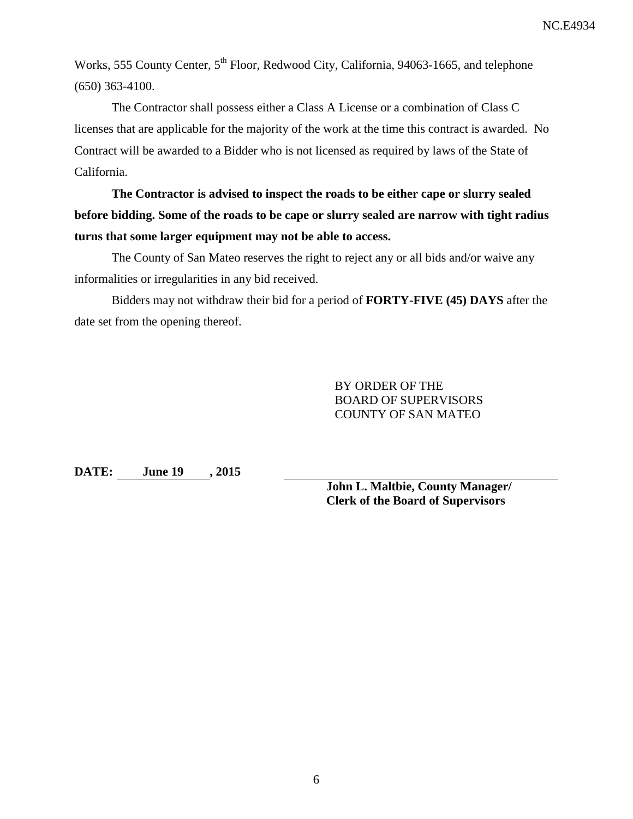Works, 555 County Center, 5<sup>th</sup> Floor, Redwood City, California, 94063-1665, and telephone (650) 363-4100.

The Contractor shall possess either a Class A License or a combination of Class C licenses that are applicable for the majority of the work at the time this contract is awarded. No Contract will be awarded to a Bidder who is not licensed as required by laws of the State of California.

**The Contractor is advised to inspect the roads to be either cape or slurry sealed before bidding. Some of the roads to be cape or slurry sealed are narrow with tight radius turns that some larger equipment may not be able to access.**

The County of San Mateo reserves the right to reject any or all bids and/or waive any informalities or irregularities in any bid received.

Bidders may not withdraw their bid for a period of **FORTY-FIVE (45) DAYS** after the date set from the opening thereof.

> BY ORDER OF THE BOARD OF SUPERVISORS COUNTY OF SAN MATEO

**DATE: June 19 , 2015**

**John L. Maltbie, County Manager/ Clerk of the Board of Supervisors**